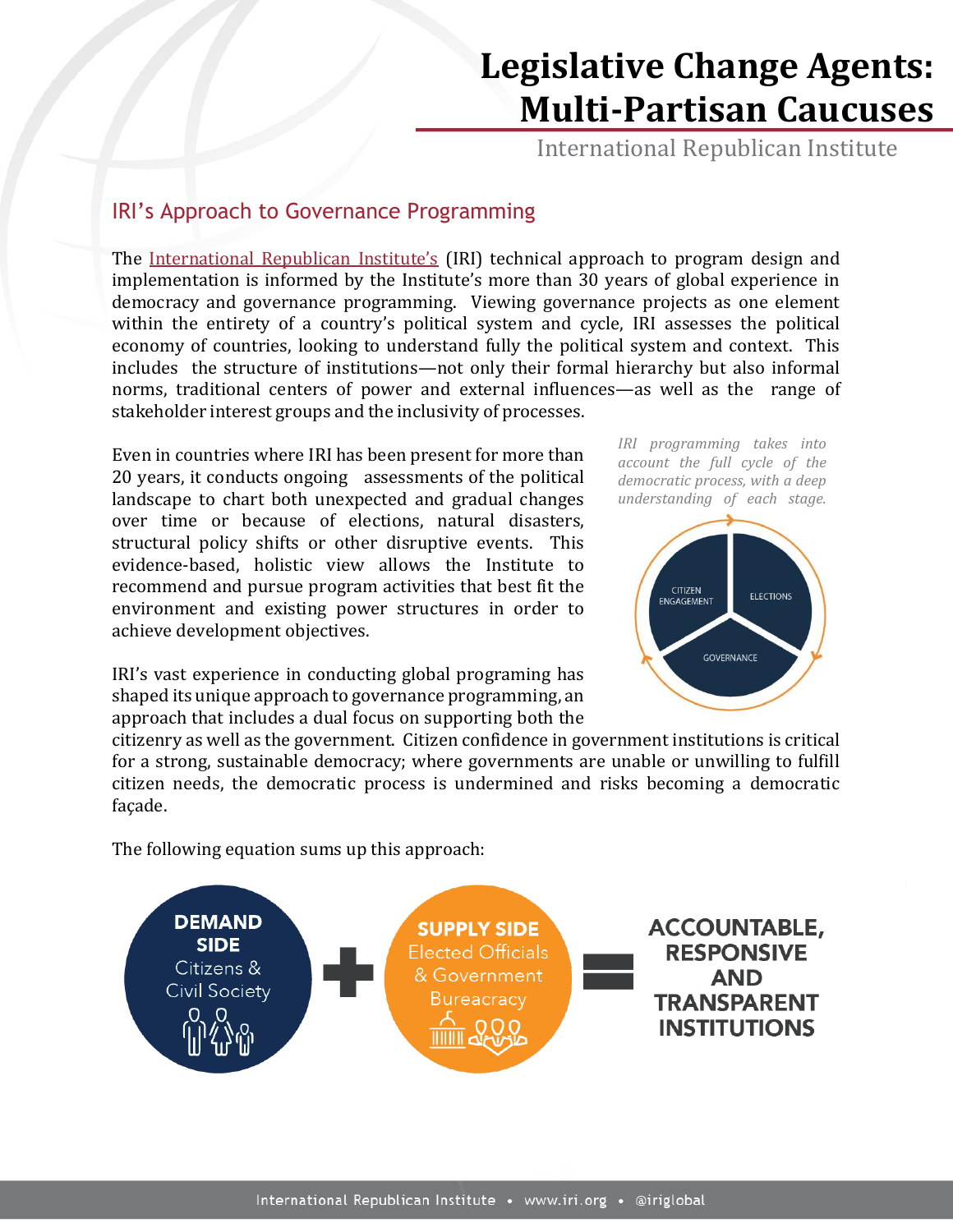# **Legislative Change Agents: Multi-Partisan Caucuses**

International Republican Institute

# IRI's Approach to Governance Programming

The [International Republican Institute's](http://www.iri.org/) (IRI) technical approach to program design and implementation is informed by the Institute's more than 30 years of global experience in democracy and governance programming. Viewing governance projects as one element within the entirety of a country's political system and cycle, IRI assesses the political economy of countries, looking to understand fully the political system and context. This includes the structure of institutions—not only their formal hierarchy but also informal norms, traditional centers of power and external influences—as well as the range of stakeholder interest groups and the inclusivity of processes.

Even in countries where IRI has been present for more than 20 years, it conducts ongoing assessments of the political landscape to chart both unexpected and gradual changes over time or because of elections, natural disasters, structural policy shifts or other disruptive events. This evidence-based, holistic view allows the Institute to recommend and pursue program activities that best fit the environment and existing power structures in order to achieve development objectives.

IRI's vast experience in conducting global programing has shaped its unique approach to governance programming, an approach that includes a dual focus on supporting both the *IRI programming takes into account the full cycle of the democratic process, with a deep understanding of each stage.*



citizenry as well as the government. Citizen confidence in government institutions is critical for a strong, sustainable democracy; where governments are unable or unwilling to fulfill citizen needs, the democratic process is undermined and risks becoming a democratic façade.

The following equation sums up this approach:

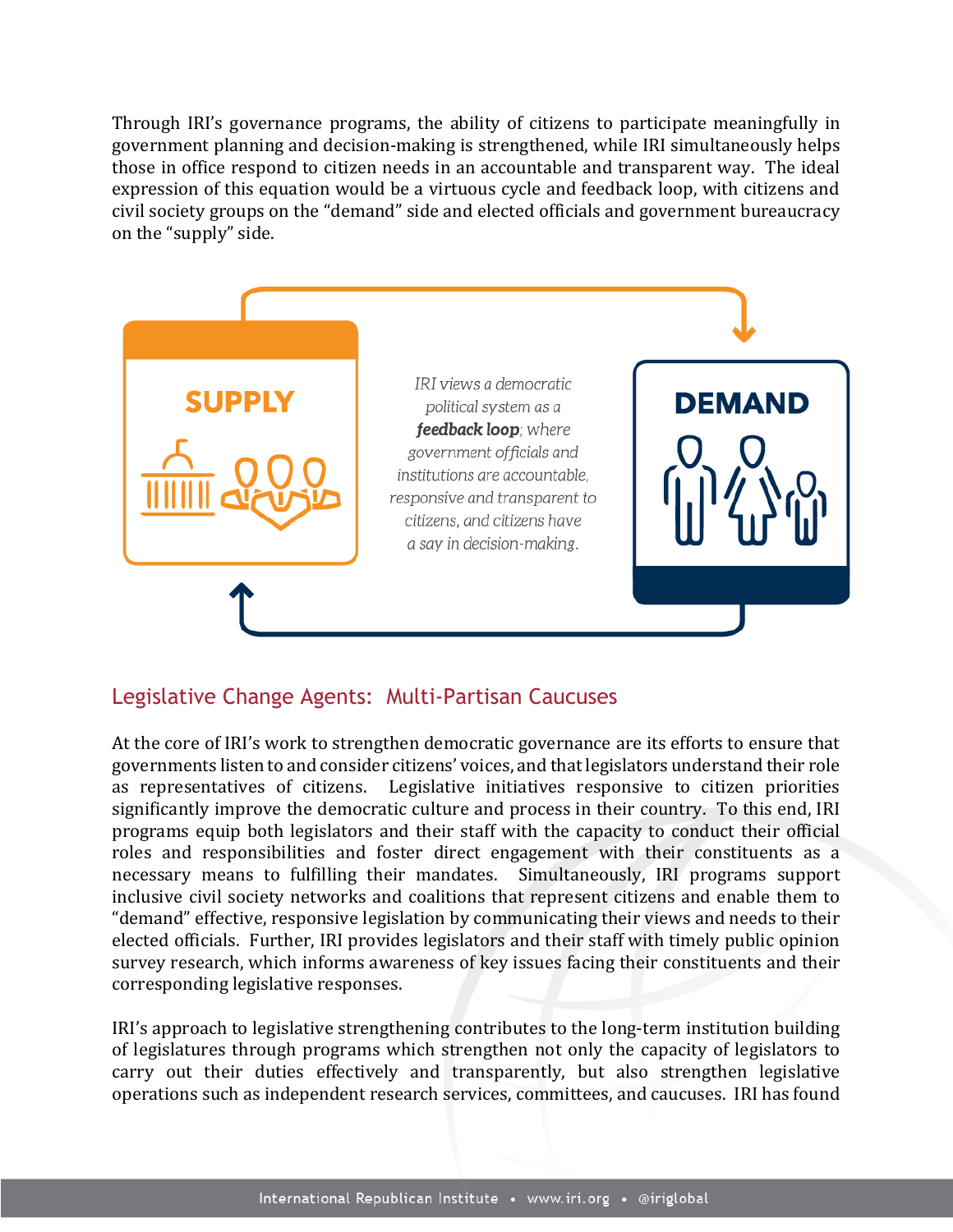Through IRI's governance programs, the ability of citizens to participate meaningfully in government planning and decision-making is strengthened, while IRI simultaneously helps those in office respond to citizen needs in an accountable and transparent way. The ideal expression of this equation would be a virtuous cycle and feedback loop, with citizens and civil society groups on the "demand" side and elected officials and government bureaucracy on the "supply" side.



# Legislative Change Agents: Multi-Partisan Caucuses

At the core of IRI's work to strengthen democratic governance are its efforts to ensure that governments listen to and consider citizens' voices, and that legislators understand their role as representatives of citizens. Legislative initiatives responsive to citizen priorities significantly improve the democratic culture and process in their country. To this end, IRI programs equip both legislators and their staff with the capacity to conduct their official roles and responsibilities and foster direct engagement with their constituents as a necessary means to fulfilling their mandates. Simultaneously, IRI programs support inclusive civil society networks and coalitions that represent citizens and enable them to "demand" effective, responsive legislation by communicating their views and needs to their elected officials. Further, IRI provides legislators and their staff with timely public opinion survey research, which informs awareness of key issues facing their constituents and their corresponding legislative responses.

IRI's approach to legislative strengthening contributes to the long-term institution building of legislatures through programs which strengthen not only the capacity of legislators to carry out their duties effectively and transparently, but also strengthen legislative operations such as independent research services, committees, and caucuses. IRI has found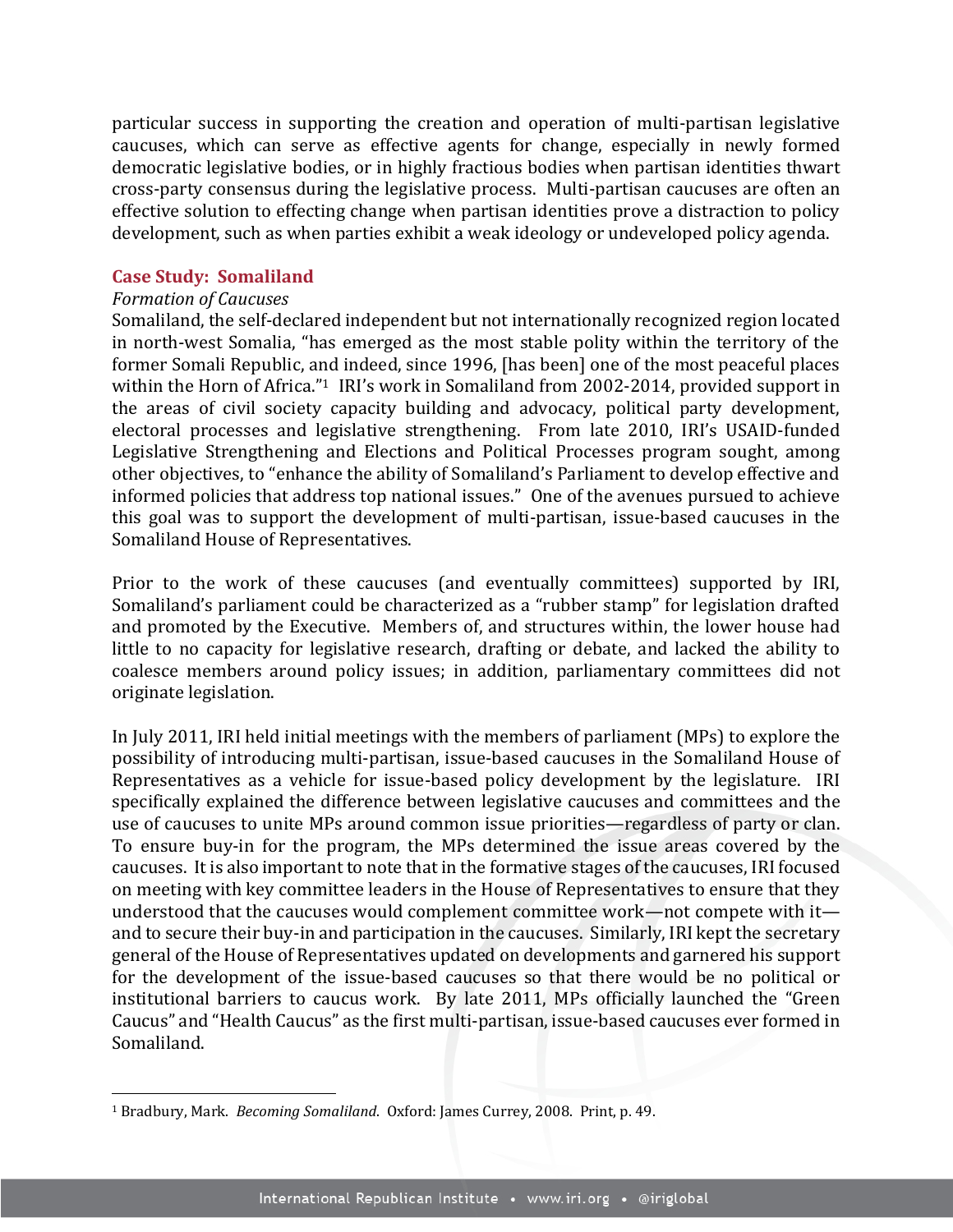particular success in supporting the creation and operation of multi-partisan legislative caucuses, which can serve as effective agents for change, especially in newly formed democratic legislative bodies, or in highly fractious bodies when partisan identities thwart cross-party consensus during the legislative process. Multi-partisan caucuses are often an effective solution to effecting change when partisan identities prove a distraction to policy development, such as when parties exhibit a weak ideology or undeveloped policy agenda.

#### **Case Study: Somaliland**

#### *Formation of Caucuses*

l

Somaliland, the self-declared independent but not internationally recognized region located in north-west Somalia, "has emerged as the most stable polity within the territory of the former Somali Republic, and indeed, since 1996, [has been] one of the most peaceful places within the Horn of Africa."<sup>1</sup> IRI's work in Somaliland from 2002-2014, provided support in the areas of civil society capacity building and advocacy, political party development, electoral processes and legislative strengthening. From late 2010, IRI's USAID-funded Legislative Strengthening and Elections and Political Processes program sought, among other objectives, to "enhance the ability of Somaliland's Parliament to develop effective and informed policies that address top national issues." One of the avenues pursued to achieve this goal was to support the development of multi-partisan, issue-based caucuses in the Somaliland House of Representatives.

Prior to the work of these caucuses (and eventually committees) supported by IRI, Somaliland's parliament could be characterized as a "rubber stamp" for legislation drafted and promoted by the Executive. Members of, and structures within, the lower house had little to no capacity for legislative research, drafting or debate, and lacked the ability to coalesce members around policy issues; in addition, parliamentary committees did not originate legislation.

In July 2011, IRI held initial meetings with the members of parliament (MPs) to explore the possibility of introducing multi-partisan, issue-based caucuses in the Somaliland House of Representatives as a vehicle for issue-based policy development by the legislature. IRI specifically explained the difference between legislative caucuses and committees and the use of caucuses to unite MPs around common issue priorities—regardless of party or clan. To ensure buy-in for the program, the MPs determined the issue areas covered by the caucuses. It is also important to note that in the formative stages of the caucuses, IRI focused on meeting with key committee leaders in the House of Representatives to ensure that they understood that the caucuses would complement committee work—not compete with it and to secure their buy-in and participation in the caucuses. Similarly, IRI kept the secretary general of the House of Representatives updated on developments and garnered his support for the development of the issue-based caucuses so that there would be no political or institutional barriers to caucus work. By late 2011, MPs officially launched the "Green Caucus" and "Health Caucus" as the first multi-partisan, issue-based caucuses ever formed in Somaliland.

<sup>1</sup> Bradbury, Mark. *Becoming Somaliland*. Oxford: James Currey, 2008. Print, p. 49.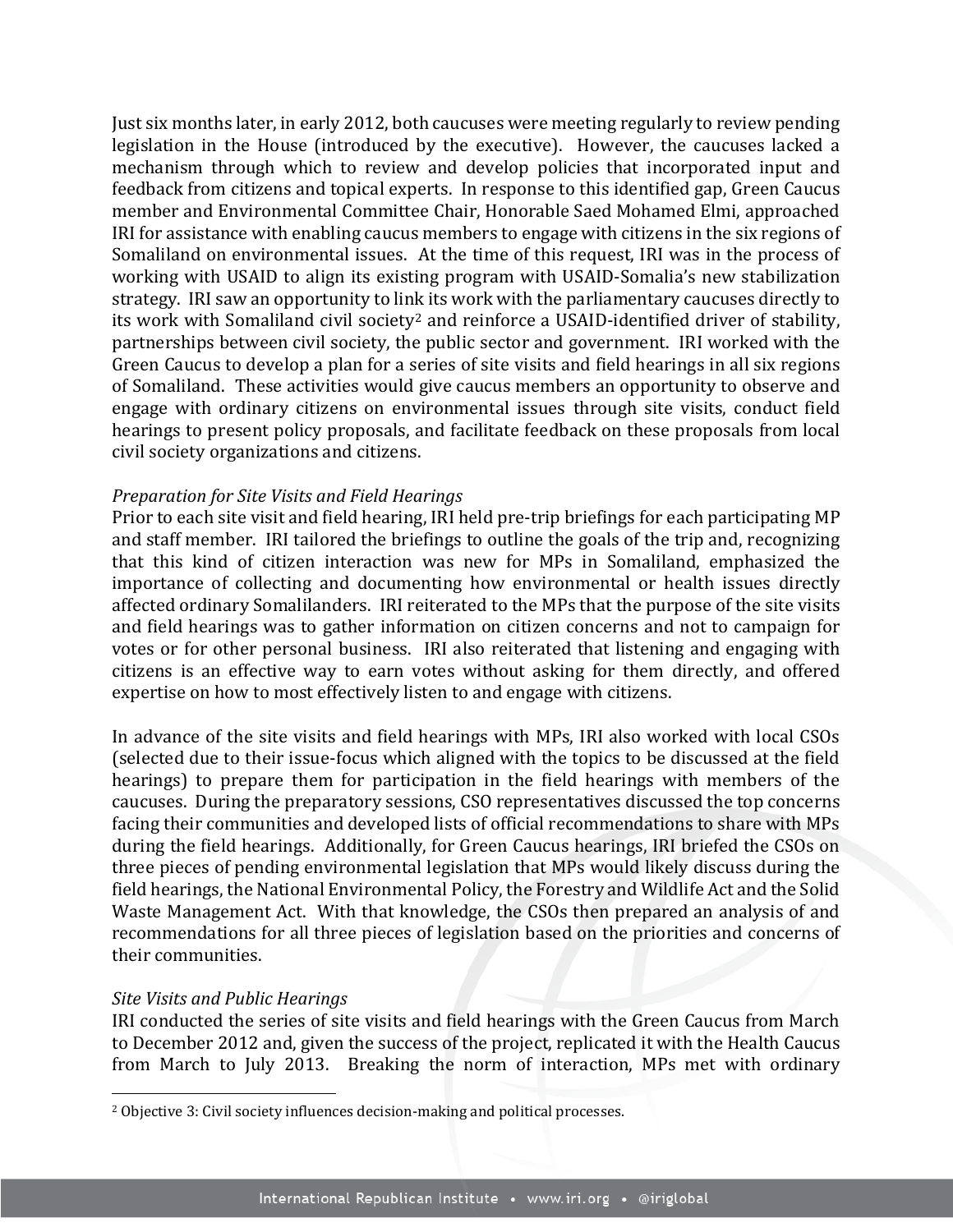Just six months later, in early 2012, both caucuses were meeting regularly to review pending legislation in the House (introduced by the executive). However, the caucuses lacked a mechanism through which to review and develop policies that incorporated input and feedback from citizens and topical experts. In response to this identified gap, Green Caucus member and Environmental Committee Chair, Honorable Saed Mohamed Elmi, approached IRI for assistance with enabling caucus members to engage with citizens in the six regions of Somaliland on environmental issues. At the time of this request, IRI was in the process of working with USAID to align its existing program with USAID-Somalia's new stabilization strategy. IRI saw an opportunity to link its work with the parliamentary caucuses directly to its work with Somaliland civil society<sup>2</sup> and reinforce a USAID-identified driver of stability, partnerships between civil society, the public sector and government. IRI worked with the Green Caucus to develop a plan for a series of site visits and field hearings in all six regions of Somaliland. These activities would give caucus members an opportunity to observe and engage with ordinary citizens on environmental issues through site visits, conduct field hearings to present policy proposals, and facilitate feedback on these proposals from local civil society organizations and citizens.

#### *Preparation for Site Visits and Field Hearings*

Prior to each site visit and field hearing, IRI held pre-trip briefings for each participating MP and staff member. IRI tailored the briefings to outline the goals of the trip and, recognizing that this kind of citizen interaction was new for MPs in Somaliland, emphasized the importance of collecting and documenting how environmental or health issues directly affected ordinary Somalilanders. IRI reiterated to the MPs that the purpose of the site visits and field hearings was to gather information on citizen concerns and not to campaign for votes or for other personal business. IRI also reiterated that listening and engaging with citizens is an effective way to earn votes without asking for them directly, and offered expertise on how to most effectively listen to and engage with citizens.

In advance of the site visits and field hearings with MPs, IRI also worked with local CSOs (selected due to their issue-focus which aligned with the topics to be discussed at the field hearings) to prepare them for participation in the field hearings with members of the caucuses. During the preparatory sessions, CSO representatives discussed the top concerns facing their communities and developed lists of official recommendations to share with MPs during the field hearings. Additionally, for Green Caucus hearings, IRI briefed the CSOs on three pieces of pending environmental legislation that MPs would likely discuss during the field hearings, the National Environmental Policy, the Forestry and Wildlife Act and the Solid Waste Management Act. With that knowledge, the CSOs then prepared an analysis of and recommendations for all three pieces of legislation based on the priorities and concerns of their communities.

#### *Site Visits and Public Hearings*

l

IRI conducted the series of site visits and field hearings with the Green Caucus from March to December 2012 and, given the success of the project, replicated it with the Health Caucus from March to July 2013. Breaking the norm of interaction, MPs met with ordinary

<sup>2</sup> Objective 3: Civil society influences decision-making and political processes.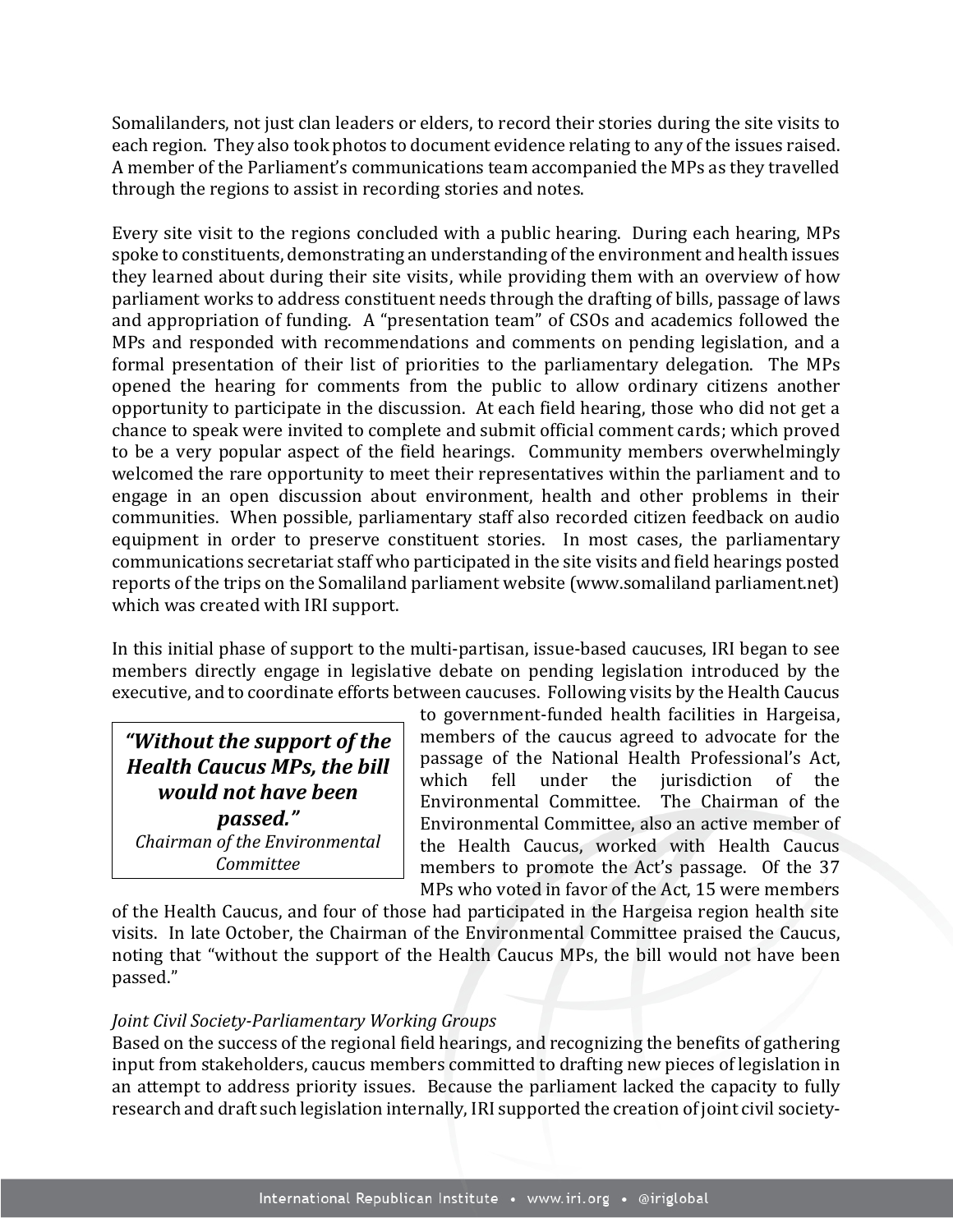Somalilanders, not just clan leaders or elders, to record their stories during the site visits to each region. They also took photos to document evidence relating to any of the issues raised. A member of the Parliament's communications team accompanied the MPs as they travelled through the regions to assist in recording stories and notes.

Every site visit to the regions concluded with a public hearing. During each hearing, MPs spoke to constituents, demonstrating an understanding of the environment and health issues they learned about during their site visits, while providing them with an overview of how parliament works to address constituent needs through the drafting of bills, passage of laws and appropriation of funding. A "presentation team" of CSOs and academics followed the MPs and responded with recommendations and comments on pending legislation, and a formal presentation of their list of priorities to the parliamentary delegation. The MPs opened the hearing for comments from the public to allow ordinary citizens another opportunity to participate in the discussion. At each field hearing, those who did not get a chance to speak were invited to complete and submit official comment cards; which proved to be a very popular aspect of the field hearings. Community members overwhelmingly welcomed the rare opportunity to meet their representatives within the parliament and to engage in an open discussion about environment, health and other problems in their communities. When possible, parliamentary staff also recorded citizen feedback on audio equipment in order to preserve constituent stories. In most cases, the parliamentary communications secretariat staff who participated in the site visits and field hearings posted reports of the trips on the Somaliland parliament website (www.somaliland parliament.net) which was created with IRI support.

In this initial phase of support to the multi-partisan, issue-based caucuses, IRI began to see members directly engage in legislative debate on pending legislation introduced by the executive, and to coordinate efforts between caucuses. Following visits by the Health Caucus

*"Without the support of the Health Caucus MPs, the bill would not have been passed." Chairman of the Environmental Committee*

to government-funded health facilities in Hargeisa, members of the caucus agreed to advocate for the passage of the National Health Professional's Act, which fell under the jurisdiction of the Environmental Committee. The Chairman of the Environmental Committee, also an active member of the Health Caucus, worked with Health Caucus members to promote the Act's passage. Of the 37 MPs who voted in favor of the Act, 15 were members

of the Health Caucus, and four of those had participated in the Hargeisa region health site visits. In late October, the Chairman of the Environmental Committee praised the Caucus, noting that "without the support of the Health Caucus MPs, the bill would not have been passed."

## *Joint Civil Society-Parliamentary Working Groups*

Based on the success of the regional field hearings, and recognizing the benefits of gathering input from stakeholders, caucus members committed to drafting new pieces of legislation in an attempt to address priority issues. Because the parliament lacked the capacity to fully research and draft such legislation internally, IRI supported the creation of joint civil society-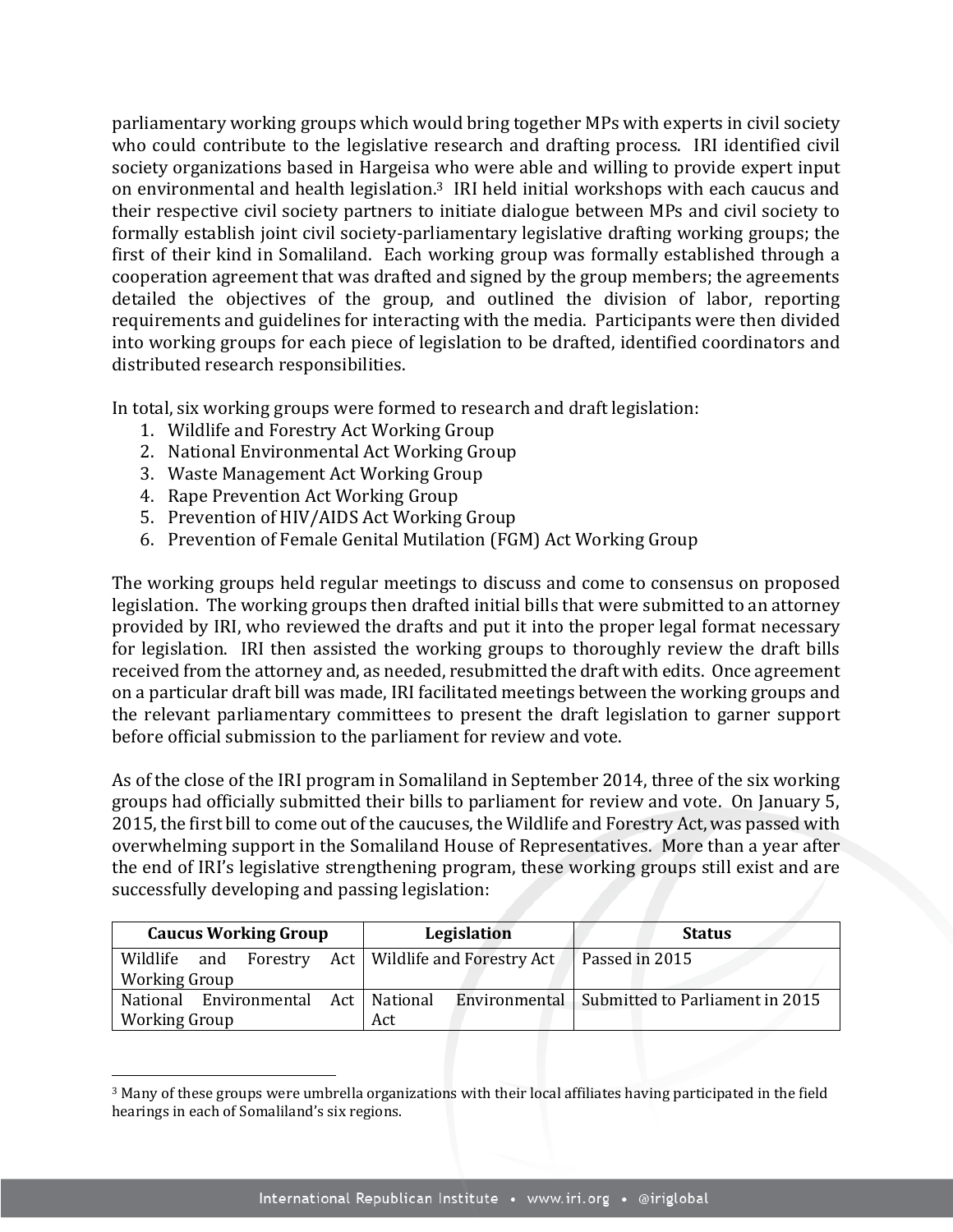parliamentary working groups which would bring together MPs with experts in civil society who could contribute to the legislative research and drafting process. IRI identified civil society organizations based in Hargeisa who were able and willing to provide expert input on environmental and health legislation.<sup>3</sup> IRI held initial workshops with each caucus and their respective civil society partners to initiate dialogue between MPs and civil society to formally establish joint civil society-parliamentary legislative drafting working groups; the first of their kind in Somaliland. Each working group was formally established through a cooperation agreement that was drafted and signed by the group members; the agreements detailed the objectives of the group, and outlined the division of labor, reporting requirements and guidelines for interacting with the media. Participants were then divided into working groups for each piece of legislation to be drafted, identified coordinators and distributed research responsibilities.

In total, six working groups were formed to research and draft legislation:

- 1. Wildlife and Forestry Act Working Group
- 2. National Environmental Act Working Group
- 3. Waste Management Act Working Group
- 4. Rape Prevention Act Working Group

 $\overline{a}$ 

- 5. Prevention of HIV/AIDS Act Working Group
- 6. Prevention of Female Genital Mutilation (FGM) Act Working Group

The working groups held regular meetings to discuss and come to consensus on proposed legislation. The working groups then drafted initial bills that were submitted to an attorney provided by IRI, who reviewed the drafts and put it into the proper legal format necessary for legislation. IRI then assisted the working groups to thoroughly review the draft bills received from the attorney and, as needed, resubmitted the draft with edits. Once agreement on a particular draft bill was made, IRI facilitated meetings between the working groups and the relevant parliamentary committees to present the draft legislation to garner support before official submission to the parliament for review and vote.

As of the close of the IRI program in Somaliland in September 2014, three of the six working groups had officially submitted their bills to parliament for review and vote. On January 5, 2015, the first bill to come out of the caucuses, the Wildlife and Forestry Act, was passed with overwhelming support in the Somaliland House of Representatives. More than a year after the end of IRI's legislative strengthening program, these working groups still exist and are successfully developing and passing legislation:

|                      | <b>Caucus Working Group</b>           |     | Legislation |                                          | <b>Status</b>                                   |
|----------------------|---------------------------------------|-----|-------------|------------------------------------------|-------------------------------------------------|
| Wildlife             | and                                   |     |             | Forestry Act   Wildlife and Forestry Act | Passed in 2015                                  |
| <b>Working Group</b> |                                       |     |             |                                          |                                                 |
|                      | National Environmental Act   National |     |             |                                          | Environmental   Submitted to Parliament in 2015 |
| <b>Working Group</b> |                                       | Act |             |                                          |                                                 |

<sup>3</sup> Many of these groups were umbrella organizations with their local affiliates having participated in the field hearings in each of Somaliland's six regions.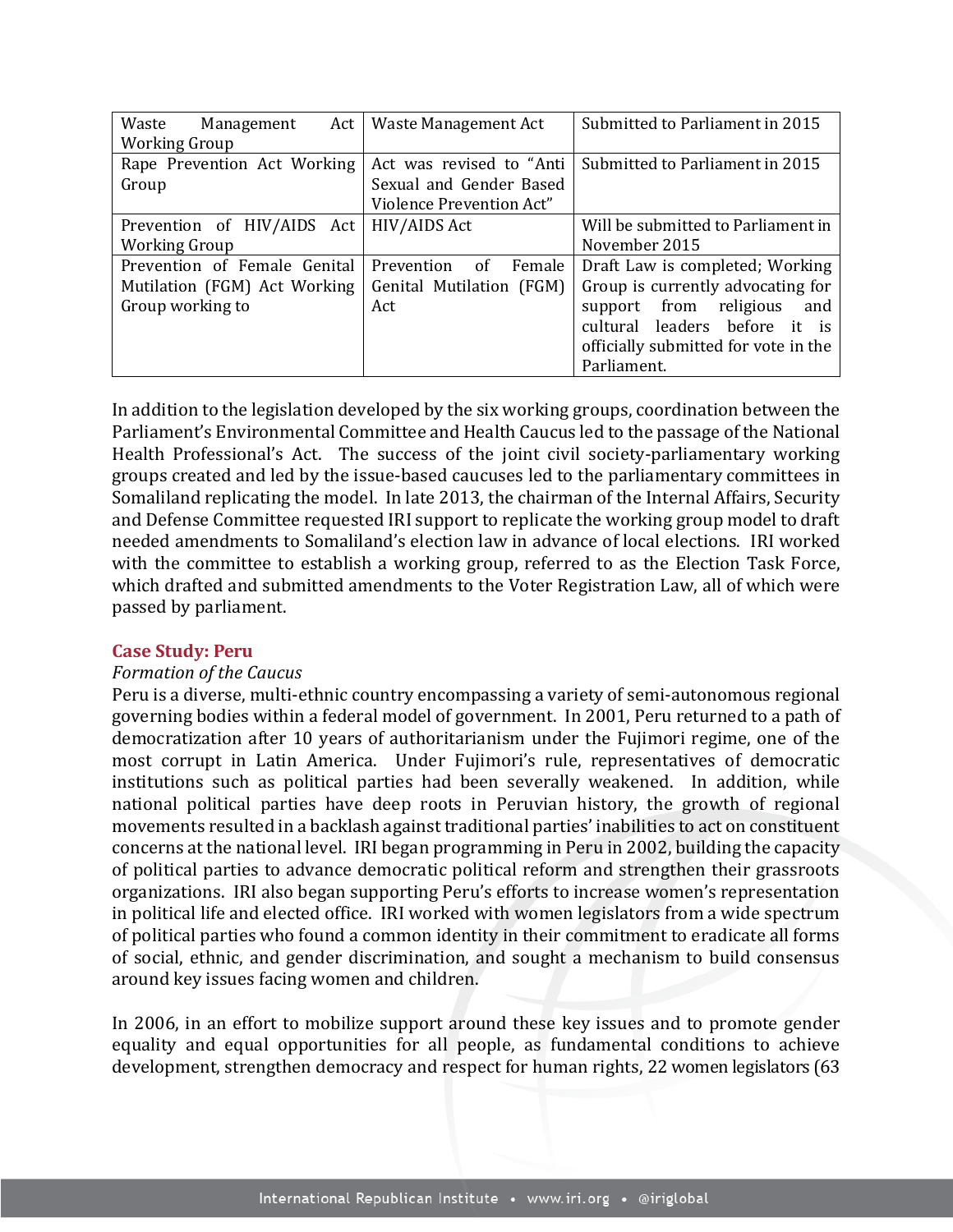| Waste<br>Management<br>Act 1 | Waste Management Act            | Submitted to Parliament in 2015      |
|------------------------------|---------------------------------|--------------------------------------|
| <b>Working Group</b>         |                                 |                                      |
| Rape Prevention Act Working  | Act was revised to "Anti        | Submitted to Parliament in 2015      |
| Group                        | Sexual and Gender Based         |                                      |
|                              | <b>Violence Prevention Act"</b> |                                      |
| Prevention of HIV/AIDS Act   | HIV/AIDS Act                    | Will be submitted to Parliament in   |
| <b>Working Group</b>         |                                 | November 2015                        |
| Prevention of Female Genital | Prevention<br>Female<br>of      | Draft Law is completed; Working      |
| Mutilation (FGM) Act Working | Genital Mutilation (FGM)        | Group is currently advocating for    |
| Group working to             | Act                             | support from religious<br>and        |
|                              |                                 | cultural leaders before it is        |
|                              |                                 | officially submitted for vote in the |
|                              |                                 | Parliament.                          |

In addition to the legislation developed by the six working groups, coordination between the Parliament's Environmental Committee and Health Caucus led to the passage of the National Health Professional's Act. The success of the joint civil society-parliamentary working groups created and led by the issue-based caucuses led to the parliamentary committees in Somaliland replicating the model. In late 2013, the chairman of the Internal Affairs, Security and Defense Committee requested IRI support to replicate the working group model to draft needed amendments to Somaliland's election law in advance of local elections. IRI worked with the committee to establish a working group, referred to as the Election Task Force, which drafted and submitted amendments to the Voter Registration Law, all of which were passed by parliament.

#### **Case Study: Peru**

#### *Formation of the Caucus*

Peru is a diverse, multi-ethnic country encompassing a variety of semi-autonomous regional governing bodies within a federal model of government. In 2001, Peru returned to a path of democratization after 10 years of authoritarianism under the Fujimori regime, one of the most corrupt in Latin America. Under Fujimori's rule, representatives of democratic institutions such as political parties had been severally weakened. In addition, while national political parties have deep roots in Peruvian history, the growth of regional movements resulted in a backlash against traditional parties' inabilities to act on constituent concerns at the national level. IRI began programming in Peru in 2002, building the capacity of political parties to advance democratic political reform and strengthen their grassroots organizations. IRI also began supporting Peru's efforts to increase women's representation in political life and elected office. IRI worked with women legislators from a wide spectrum of political parties who found a common identity in their commitment to eradicate all forms of social, ethnic, and gender discrimination, and sought a mechanism to build consensus around key issues facing women and children.

In 2006, in an effort to mobilize support around these key issues and to promote gender equality and equal opportunities for all people, as fundamental conditions to achieve development, strengthen democracy and respect for human rights, 22 women legislators (63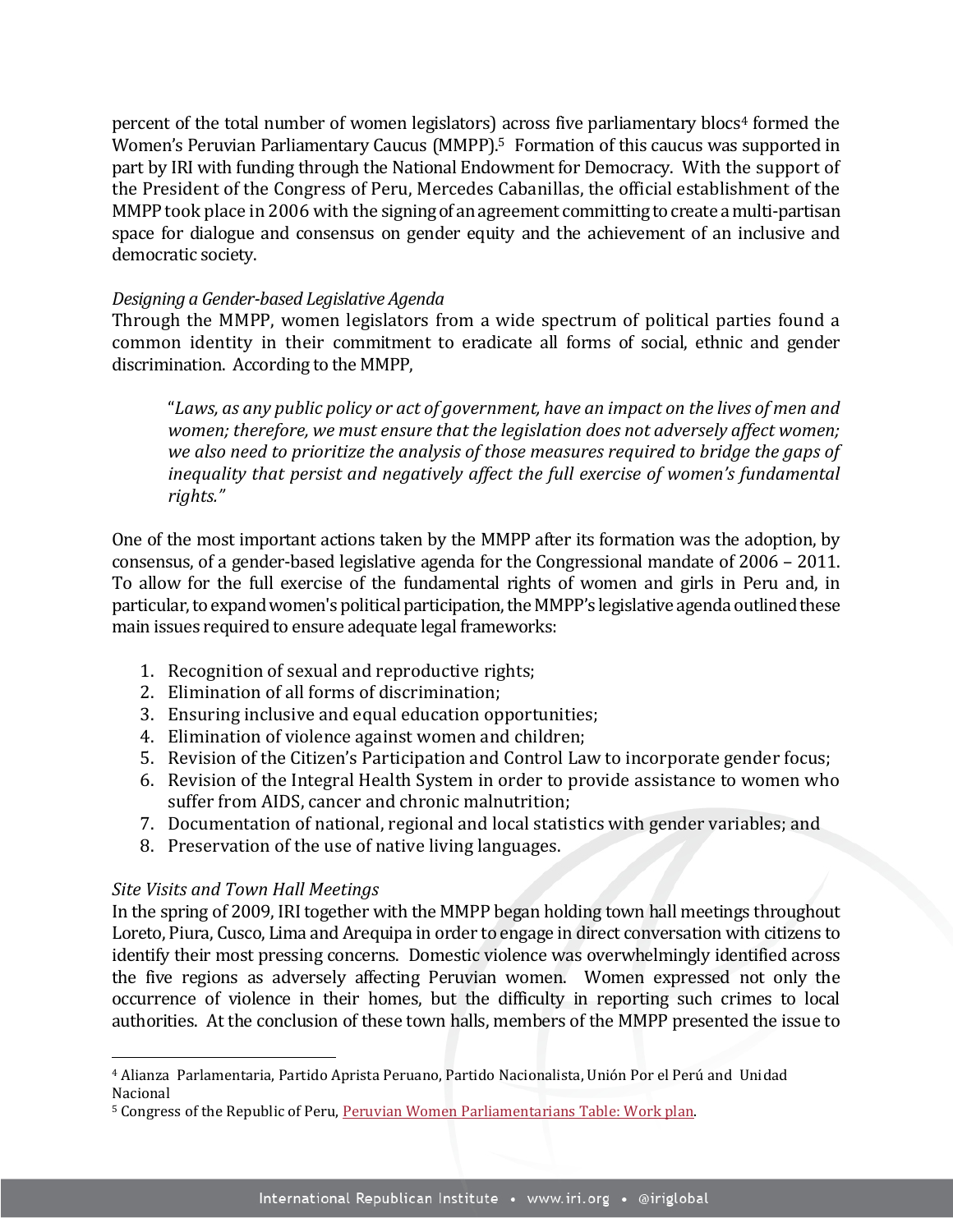percent of the total number of women legislators) across five parliamentary blocs<sup>4</sup> formed the Women's Peruvian Parliamentary Caucus (MMPP). <sup>5</sup> Formation of this caucus was supported in part by IRI with funding through the National Endowment for Democracy. With the support of the President of the Congress of Peru, Mercedes Cabanillas, the official establishment of the MMPP took place in 2006 with the signing of an agreement committing to create a multi-partisan space for dialogue and consensus on gender equity and the achievement of an inclusive and democratic society.

### *Designing a Gender-based Legislative Agenda*

Through the MMPP, women legislators from a wide spectrum of political parties found a common identity in their commitment to eradicate all forms of social, ethnic and gender discrimination. According to the MMPP,

"*Laws, as any public policy or act of government, have an impact on the lives of men and women; therefore, we must ensure that the legislation does not adversely affect women; we also need to prioritize the analysis of those measures required to bridge the gaps of inequality that persist and negatively affect the full exercise of women's fundamental rights."*

One of the most important actions taken by the MMPP after its formation was the adoption, by consensus, of a gender-based legislative agenda for the Congressional mandate of 2006 – 2011. To allow for the full exercise of the fundamental rights of women and girls in Peru and, in particular, to expand women's political participation, the MMPP's legislative agenda outlined these main issues required to ensure adequate legal frameworks:

- 1. Recognition of sexual and reproductive rights;
- 2. Elimination of all forms of discrimination;
- 3. Ensuring inclusive and equal education opportunities;
- 4. Elimination of violence against women and children;
- 5. Revision of the Citizen's Participation and Control Law to incorporate gender focus;
- 6. Revision of the Integral Health System in order to provide assistance to women who suffer from AIDS, cancer and chronic malnutrition;
- 7. Documentation of national, regional and local statistics with gender variables; and
- 8. Preservation of the use of native living languages.

## *Site Visits and Town Hall Meetings*

 $\overline{a}$ 

In the spring of 2009, IRI together with the MMPP began holding town hall meetings throughout Loreto, Piura, Cusco, Lima and Arequipa in order to engage in direct conversation with citizens to identify their most pressing concerns. Domestic violence was overwhelmingly identified across the five regions as adversely affecting Peruvian women. Women expressed not only the occurrence of violence in their homes, but the difficulty in reporting such crimes to local authorities. At the conclusion of these town halls, members of the MMPP presented the issue to

<sup>4</sup> Alianza Parlamentaria, Partido Aprista Peruano, Partido Nacionalista, Unión Por el Perú and Unidad Nacional

<sup>&</sup>lt;sup>5</sup> Congress of the Republic of Peru, [Peruvian Women Parliamentarians Table: Work plan.](http://www4.congreso.gob.pe/I_organos/Mesa_Mujeres_parlamentarias/plan_trabajo.html)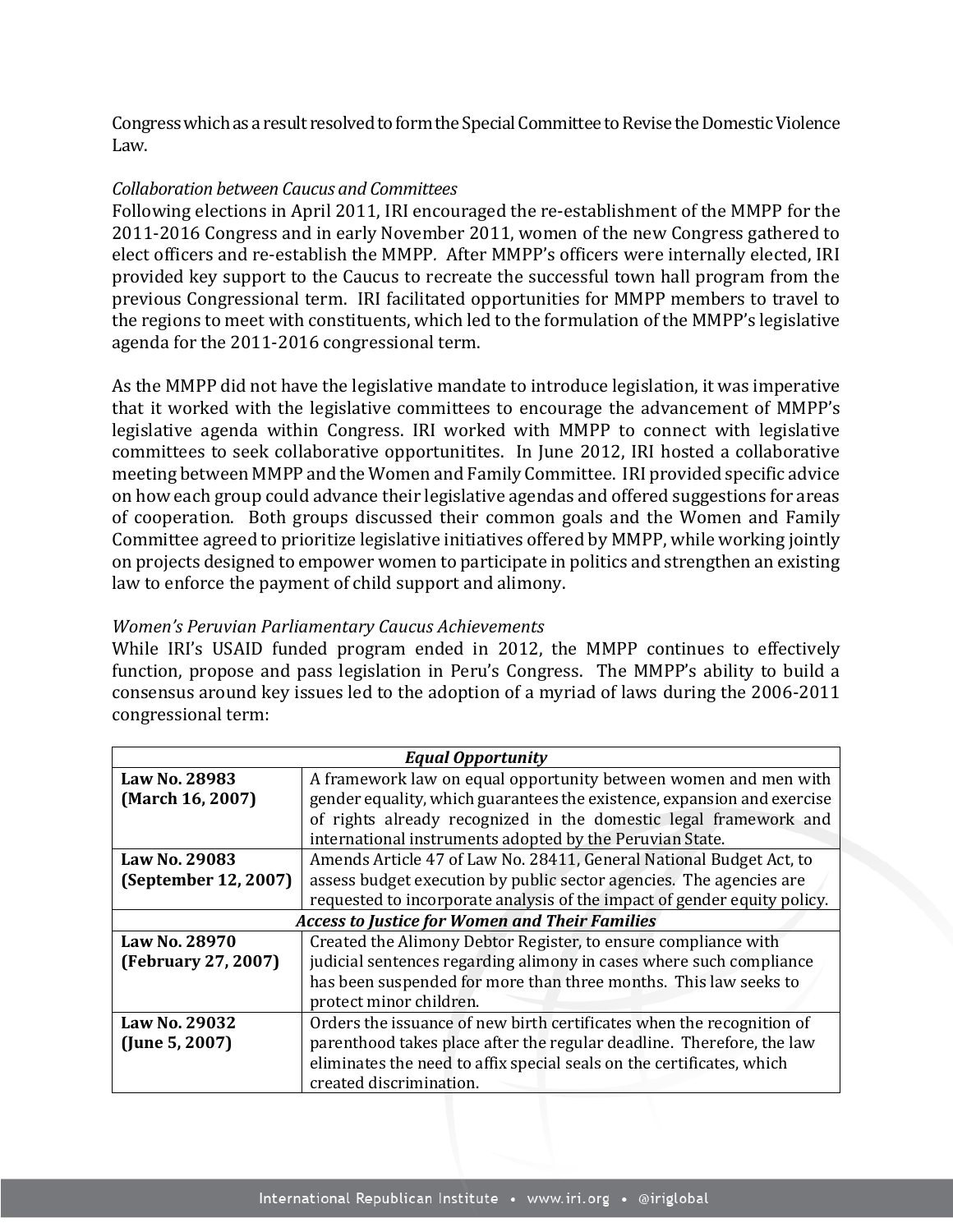Congress which as a result resolved to form the Special Committee to Revise the Domestic Violence Law.

## *Collaboration between Caucus and Committees*

Following elections in April 2011, IRI encouraged the re-establishment of the MMPP for the 2011-2016 Congress and in early November 2011, women of the new Congress gathered to elect officers and re-establish the MMPP*.* After MMPP's officers were internally elected, IRI provided key support to the Caucus to recreate the successful town hall program from the previous Congressional term. IRI facilitated opportunities for MMPP members to travel to the regions to meet with constituents, which led to the formulation of the MMPP's legislative agenda for the 2011-2016 congressional term.

As the MMPP did not have the legislative mandate to introduce legislation, it was imperative that it worked with the legislative committees to encourage the advancement of MMPP's legislative agenda within Congress. IRI worked with MMPP to connect with legislative committees to seek collaborative opportunitites. In June 2012, IRI hosted a collaborative meeting between MMPP and the Women and Family Committee. IRI provided specific advice on how each group could advance their legislative agendas and offered suggestions for areas of cooperation. Both groups discussed their common goals and the Women and Family Committee agreed to prioritize legislative initiatives offered by MMPP, while working jointly on projects designed to empower women to participate in politics and strengthen an existing law to enforce the payment of child support and alimony.

## *Women's Peruvian Parliamentary Caucus Achievements*

While IRI's USAID funded program ended in 2012, the MMPP continues to effectively function, propose and pass legislation in Peru's Congress. The MMPP's ability to build a consensus around key issues led to the adoption of a myriad of laws during the 2006-2011 congressional term:

| <b>Equal Opportunity</b>                              |                                                                          |  |  |  |
|-------------------------------------------------------|--------------------------------------------------------------------------|--|--|--|
| Law No. 28983                                         | A framework law on equal opportunity between women and men with          |  |  |  |
| (March 16, 2007)                                      | gender equality, which guarantees the existence, expansion and exercise  |  |  |  |
|                                                       | of rights already recognized in the domestic legal framework and         |  |  |  |
|                                                       | international instruments adopted by the Peruvian State.                 |  |  |  |
| Law No. 29083                                         | Amends Article 47 of Law No. 28411, General National Budget Act, to      |  |  |  |
| (September 12, 2007)                                  | assess budget execution by public sector agencies. The agencies are      |  |  |  |
|                                                       | requested to incorporate analysis of the impact of gender equity policy. |  |  |  |
| <b>Access to Justice for Women and Their Families</b> |                                                                          |  |  |  |
| Law No. 28970                                         | Created the Alimony Debtor Register, to ensure compliance with           |  |  |  |
| (February 27, 2007)                                   | judicial sentences regarding alimony in cases where such compliance      |  |  |  |
|                                                       | has been suspended for more than three months. This law seeks to         |  |  |  |
|                                                       | protect minor children.                                                  |  |  |  |
| Law No. 29032                                         | Orders the issuance of new birth certificates when the recognition of    |  |  |  |
| $($ June 5, 2007 $)$                                  | parenthood takes place after the regular deadline. Therefore, the law    |  |  |  |
|                                                       | eliminates the need to affix special seals on the certificates, which    |  |  |  |
|                                                       | created discrimination.                                                  |  |  |  |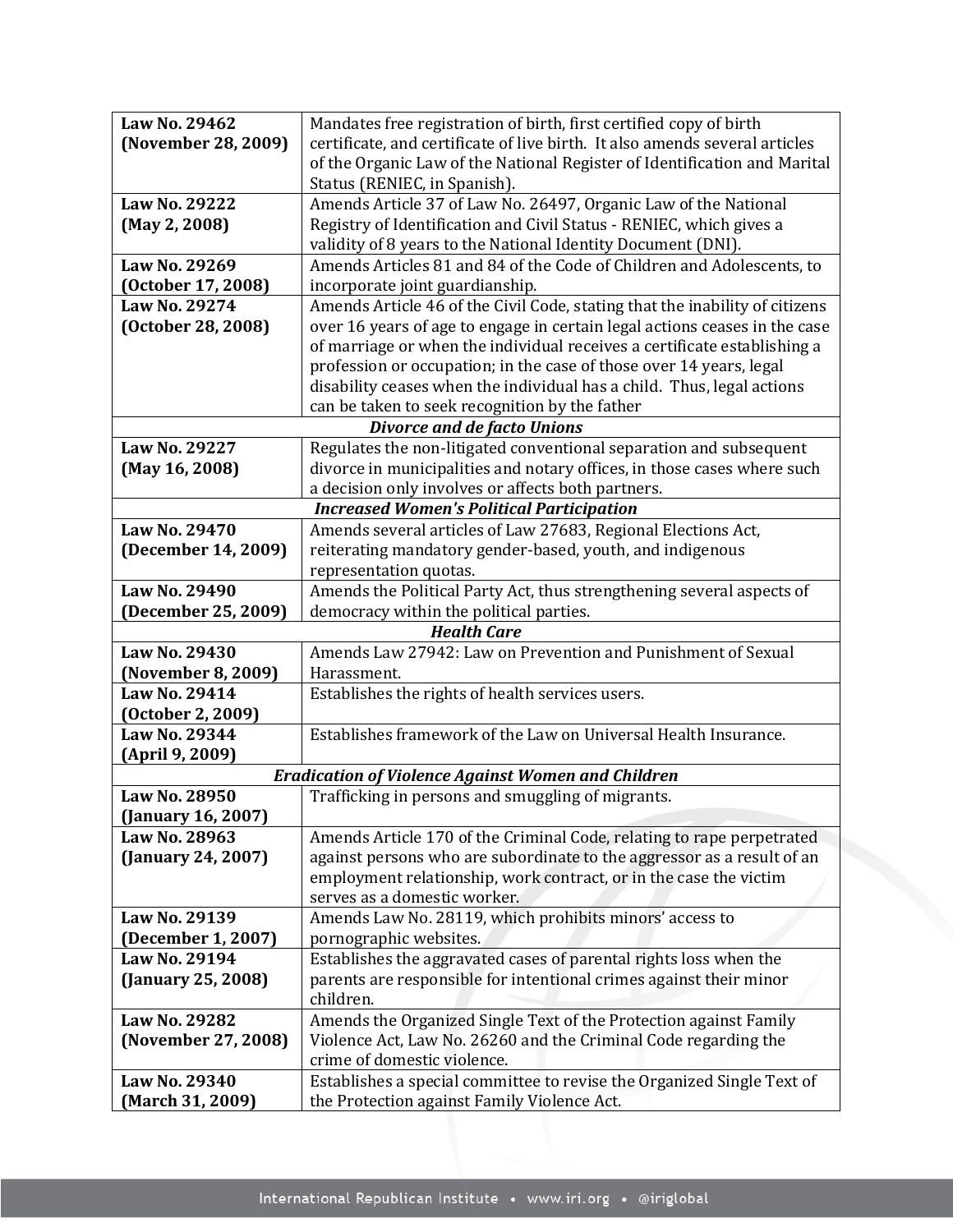| Law No. 29462                       | Mandates free registration of birth, first certified copy of birth                 |
|-------------------------------------|------------------------------------------------------------------------------------|
| (November 28, 2009)                 | certificate, and certificate of live birth. It also amends several articles        |
|                                     | of the Organic Law of the National Register of Identification and Marital          |
|                                     | Status (RENIEC, in Spanish).                                                       |
| Law No. 29222                       | Amends Article 37 of Law No. 26497, Organic Law of the National                    |
| (May 2, 2008)                       | Registry of Identification and Civil Status - RENIEC, which gives a                |
|                                     | validity of 8 years to the National Identity Document (DNI).                       |
| Law No. 29269                       | Amends Articles 81 and 84 of the Code of Children and Adolescents, to              |
| (October 17, 2008)                  | incorporate joint guardianship.                                                    |
| Law No. 29274                       | Amends Article 46 of the Civil Code, stating that the inability of citizens        |
| (October 28, 2008)                  | over 16 years of age to engage in certain legal actions ceases in the case         |
|                                     | of marriage or when the individual receives a certificate establishing a           |
|                                     | profession or occupation; in the case of those over 14 years, legal                |
|                                     | disability ceases when the individual has a child. Thus, legal actions             |
|                                     | can be taken to seek recognition by the father                                     |
|                                     | <b>Divorce and de facto Unions</b>                                                 |
| Law No. 29227                       | Regulates the non-litigated conventional separation and subsequent                 |
| (May 16, 2008)                      | divorce in municipalities and notary offices, in those cases where such            |
|                                     | a decision only involves or affects both partners.                                 |
|                                     | <b>Increased Women's Political Participation</b>                                   |
| Law No. 29470                       | Amends several articles of Law 27683, Regional Elections Act,                      |
| (December 14, 2009)                 | reiterating mandatory gender-based, youth, and indigenous                          |
|                                     | representation quotas.                                                             |
| Law No. 29490                       | Amends the Political Party Act, thus strengthening several aspects of              |
| (December 25, 2009)                 | democracy within the political parties.                                            |
|                                     | <b>Health Care</b><br>Amends Law 27942: Law on Prevention and Punishment of Sexual |
| Law No. 29430                       | Harassment.                                                                        |
| (November 8, 2009)<br>Law No. 29414 | Establishes the rights of health services users.                                   |
| (October 2, 2009)                   |                                                                                    |
| Law No. 29344                       | Establishes framework of the Law on Universal Health Insurance.                    |
| (April 9, 2009)                     |                                                                                    |
|                                     | <b>Eradication of Violence Against Women and Children</b>                          |
| Law No. 28950                       | Trafficking in persons and smuggling of migrants.                                  |
| (January 16, 2007)                  |                                                                                    |
| Law No. 28963                       | Amends Article 170 of the Criminal Code, relating to rape perpetrated              |
| (January 24, 2007)                  | against persons who are subordinate to the aggressor as a result of an             |
|                                     | employment relationship, work contract, or in the case the victim                  |
|                                     | serves as a domestic worker.                                                       |
| Law No. 29139                       | Amends Law No. 28119, which prohibits minors' access to                            |
| (December 1, 2007)                  | pornographic websites.                                                             |
| Law No. 29194                       | Establishes the aggravated cases of parental rights loss when the                  |
| (January 25, 2008)                  | parents are responsible for intentional crimes against their minor                 |
|                                     | children.                                                                          |
| Law No. 29282                       | Amends the Organized Single Text of the Protection against Family                  |
| (November 27, 2008)                 | Violence Act, Law No. 26260 and the Criminal Code regarding the                    |
|                                     | crime of domestic violence.                                                        |
| Law No. 29340                       | Establishes a special committee to revise the Organized Single Text of             |
| (March 31, 2009)                    | the Protection against Family Violence Act.                                        |
|                                     |                                                                                    |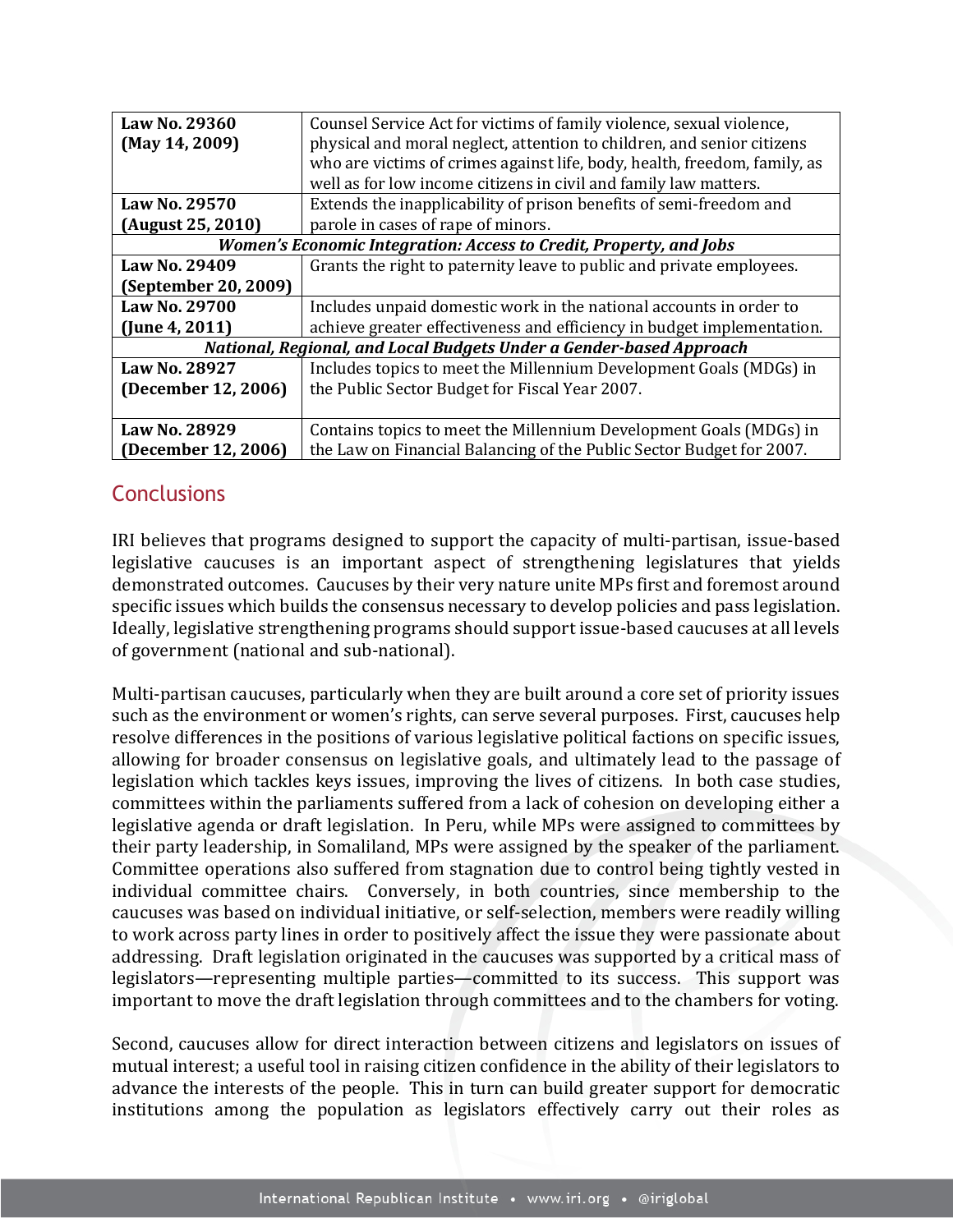| Law No. 29360                                                       | Counsel Service Act for victims of family violence, sexual violence,      |  |  |  |
|---------------------------------------------------------------------|---------------------------------------------------------------------------|--|--|--|
| (May 14, 2009)                                                      | physical and moral neglect, attention to children, and senior citizens    |  |  |  |
|                                                                     | who are victims of crimes against life, body, health, freedom, family, as |  |  |  |
|                                                                     | well as for low income citizens in civil and family law matters.          |  |  |  |
| Law No. 29570                                                       | Extends the inapplicability of prison benefits of semi-freedom and        |  |  |  |
| (August 25, 2010)                                                   | parole in cases of rape of minors.                                        |  |  |  |
| Women's Economic Integration: Access to Credit, Property, and Jobs  |                                                                           |  |  |  |
| Law No. 29409                                                       | Grants the right to paternity leave to public and private employees.      |  |  |  |
| (September 20, 2009)                                                |                                                                           |  |  |  |
| Law No. 29700                                                       | Includes unpaid domestic work in the national accounts in order to        |  |  |  |
| $($ June 4, 2011)                                                   | achieve greater effectiveness and efficiency in budget implementation.    |  |  |  |
| National, Regional, and Local Budgets Under a Gender-based Approach |                                                                           |  |  |  |
| Law No. 28927                                                       | Includes topics to meet the Millennium Development Goals (MDGs) in        |  |  |  |
| (December 12, 2006)                                                 | the Public Sector Budget for Fiscal Year 2007.                            |  |  |  |
|                                                                     |                                                                           |  |  |  |
| Law No. 28929                                                       | Contains topics to meet the Millennium Development Goals (MDGs) in        |  |  |  |
| (December 12, 2006)                                                 | the Law on Financial Balancing of the Public Sector Budget for 2007.      |  |  |  |

# **Conclusions**

IRI believes that programs designed to support the capacity of multi-partisan, issue-based legislative caucuses is an important aspect of strengthening legislatures that yields demonstrated outcomes. Caucuses by their very nature unite MPs first and foremost around specific issues which builds the consensus necessary to develop policies and pass legislation. Ideally, legislative strengthening programs should support issue-based caucuses at all levels of government (national and sub-national).

Multi-partisan caucuses, particularly when they are built around a core set of priority issues such as the environment or women's rights, can serve several purposes. First, caucuses help resolve differences in the positions of various legislative political factions on specific issues, allowing for broader consensus on legislative goals, and ultimately lead to the passage of legislation which tackles keys issues, improving the lives of citizens. In both case studies, committees within the parliaments suffered from a lack of cohesion on developing either a legislative agenda or draft legislation. In Peru, while MPs were assigned to committees by their party leadership, in Somaliland, MPs were assigned by the speaker of the parliament. Committee operations also suffered from stagnation due to control being tightly vested in individual committee chairs. Conversely, in both countries, since membership to the caucuses was based on individual initiative, or self-selection, members were readily willing to work across party lines in order to positively affect the issue they were passionate about addressing. Draft legislation originated in the caucuses was supported by a critical mass of legislators—representing multiple parties—committed to its success. This support was important to move the draft legislation through committees and to the chambers for voting.

Second, caucuses allow for direct interaction between citizens and legislators on issues of mutual interest; a useful tool in raising citizen confidence in the ability of their legislators to advance the interests of the people. This in turn can build greater support for democratic institutions among the population as legislators effectively carry out their roles as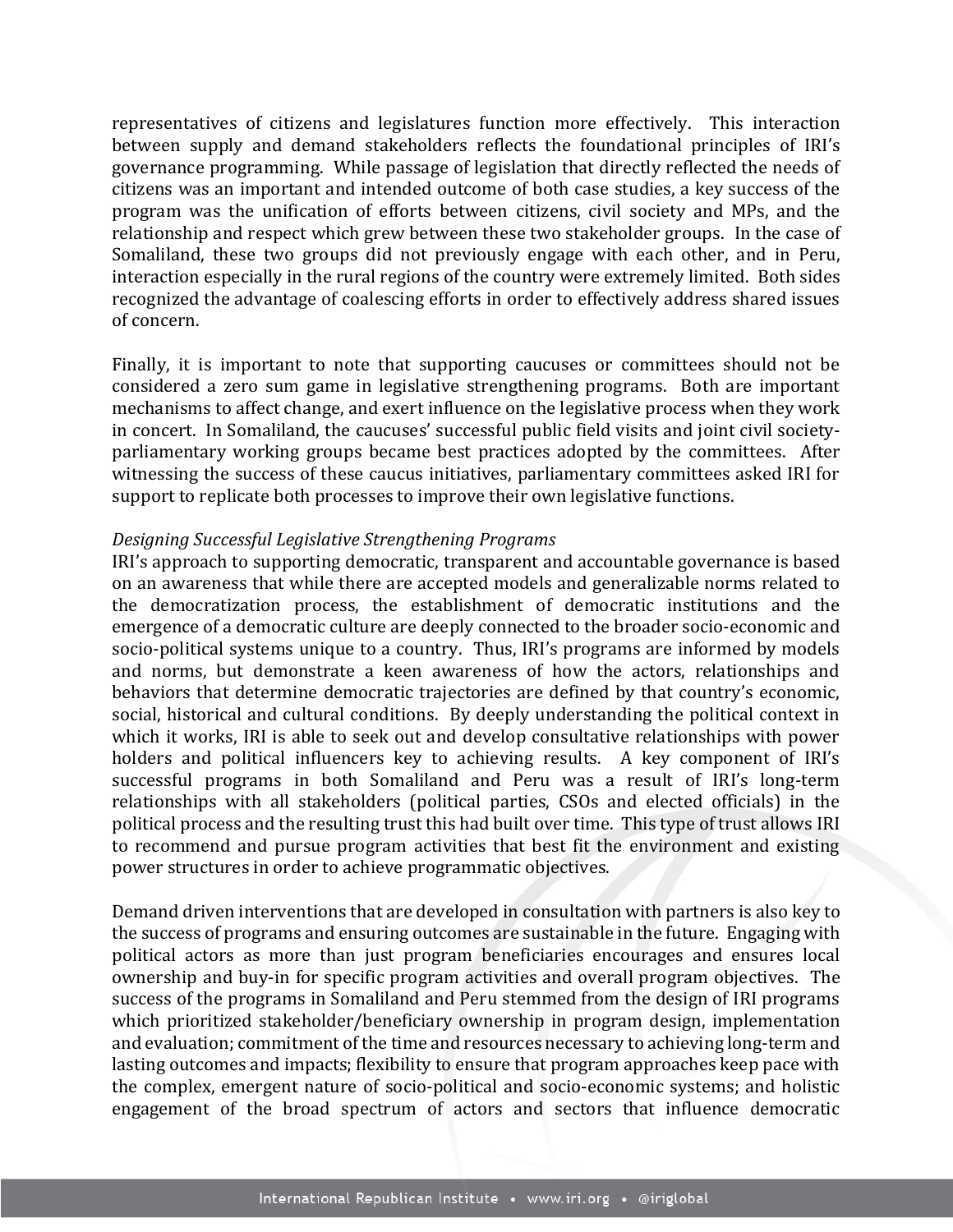representatives of citizens and legislatures function more effectively. This interaction between supply and demand stakeholders reflects the foundational principles of IRI's governance programming. While passage of legislation that directly reflected the needs of citizens was an important and intended outcome of both case studies, a key success of the program was the unification of efforts between citizens, civil society and MPs, and the relationship and respect which grew between these two stakeholder groups. In the case of Somaliland, these two groups did not previously engage with each other, and in Peru, interaction especially in the rural regions of the country were extremely limited. Both sides recognized the advantage of coalescing efforts in order to effectively address shared issues of concern.

Finally, it is important to note that supporting caucuses or committees should not be considered a zero sum game in legislative strengthening programs. Both are important mechanisms to affect change, and exert influence on the legislative process when they work in concert. In Somaliland, the caucuses' successful public field visits and joint civil societyparliamentary working groups became best practices adopted by the committees. After witnessing the success of these caucus initiatives, parliamentary committees asked IRI for support to replicate both processes to improve their own legislative functions.

#### *Designing Successful Legislative Strengthening Programs*

IRI's approach to supporting democratic, transparent and accountable governance is based on an awareness that while there are accepted models and generalizable norms related to the democratization process, the establishment of democratic institutions and the emergence of a democratic culture are deeply connected to the broader socio-economic and socio-political systems unique to a country. Thus, IRI's programs are informed by models and norms, but demonstrate a keen awareness of how the actors, relationships and behaviors that determine democratic trajectories are defined by that country's economic, social, historical and cultural conditions. By deeply understanding the political context in which it works, IRI is able to seek out and develop consultative relationships with power holders and political influencers key to achieving results. A key component of IRI's successful programs in both Somaliland and Peru was a result of IRI's long-term relationships with all stakeholders (political parties, CSOs and elected officials) in the political process and the resulting trust this had built over time. This type of trust allows IRI to recommend and pursue program activities that best fit the environment and existing power structures in order to achieve programmatic objectives.

Demand driven interventions that are developed in consultation with partners is also key to the success of programs and ensuring outcomes are sustainable in the future. Engaging with political actors as more than just program beneficiaries encourages and ensures local ownership and buy-in for specific program activities and overall program objectives. The success of the programs in Somaliland and Peru stemmed from the design of IRI programs which prioritized stakeholder/beneficiary ownership in program design, implementation and evaluation; commitment of the time and resources necessary to achieving long-term and lasting outcomes and impacts; flexibility to ensure that program approaches keep pace with the complex, emergent nature of socio-political and socio-economic systems; and holistic engagement of the broad spectrum of actors and sectors that influence democratic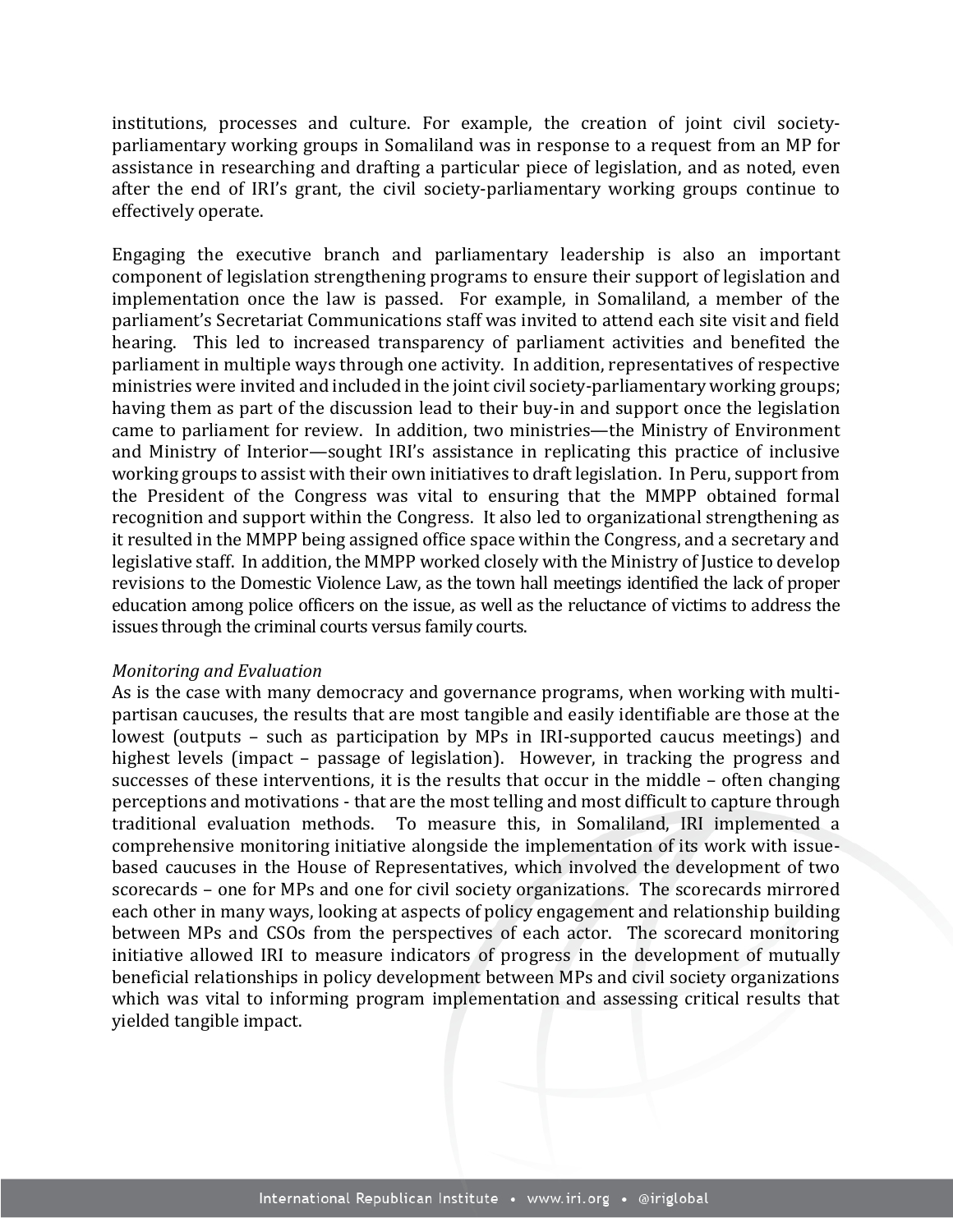institutions, processes and culture. For example, the creation of joint civil societyparliamentary working groups in Somaliland was in response to a request from an MP for assistance in researching and drafting a particular piece of legislation, and as noted, even after the end of IRI's grant, the civil society-parliamentary working groups continue to effectively operate.

Engaging the executive branch and parliamentary leadership is also an important component of legislation strengthening programs to ensure their support of legislation and implementation once the law is passed. For example, in Somaliland, a member of the parliament's Secretariat Communications staff was invited to attend each site visit and field hearing. This led to increased transparency of parliament activities and benefited the parliament in multiple ways through one activity. In addition, representatives of respective ministries were invited and included in the joint civil society-parliamentary working groups; having them as part of the discussion lead to their buy-in and support once the legislation came to parliament for review. In addition, two ministries—the Ministry of Environment and Ministry of Interior—sought IRI's assistance in replicating this practice of inclusive working groups to assist with their own initiatives to draft legislation. In Peru, support from the President of the Congress was vital to ensuring that the MMPP obtained formal recognition and support within the Congress. It also led to organizational strengthening as it resulted in the MMPP being assigned office space within the Congress, and a secretary and legislative staff. In addition, the MMPP worked closely with the Ministry of Justice to develop revisions to the Domestic Violence Law, as the town hall meetings identified the lack of proper education among police officers on the issue, as well as the reluctance of victims to address the issues through the criminal courts versus family courts.

#### *Monitoring and Evaluation*

As is the case with many democracy and governance programs, when working with multipartisan caucuses, the results that are most tangible and easily identifiable are those at the lowest (outputs – such as participation by MPs in IRI-supported caucus meetings) and highest levels (impact – passage of legislation). However, in tracking the progress and successes of these interventions, it is the results that occur in the middle – often changing perceptions and motivations - that are the most telling and most difficult to capture through traditional evaluation methods. To measure this, in Somaliland, IRI implemented a comprehensive monitoring initiative alongside the implementation of its work with issuebased caucuses in the House of Representatives, which involved the development of two scorecards – one for MPs and one for civil society organizations. The scorecards mirrored each other in many ways, looking at aspects of policy engagement and relationship building between MPs and CSOs from the perspectives of each actor. The scorecard monitoring initiative allowed IRI to measure indicators of progress in the development of mutually beneficial relationships in policy development between MPs and civil society organizations which was vital to informing program implementation and assessing critical results that yielded tangible impact.